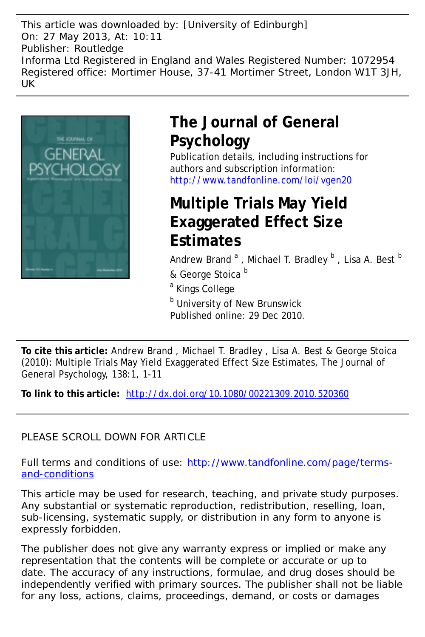This article was downloaded by: [University of Edinburgh] On: 27 May 2013, At: 10:11 Publisher: Routledge Informa Ltd Registered in England and Wales Registered Number: 1072954 Registered office: Mortimer House, 37-41 Mortimer Street, London W1T 3JH, UK



# **The Journal of General Psychology**

Publication details, including instructions for authors and subscription information: <http://www.tandfonline.com/loi/vgen20>

# **Multiple Trials May Yield Exaggerated Effect Size Estimates**

Andrew Brand <sup>a</sup> , Michael T. Bradley <sup>b</sup> , Lisa A. Best <sup>b</sup> & George Stoica<sup>b</sup>

<sup>a</sup> Kings College

**b** University of New Brunswick Published online: 29 Dec 2010.

**To cite this article:** Andrew Brand , Michael T. Bradley , Lisa A. Best & George Stoica (2010): Multiple Trials May Yield Exaggerated Effect Size Estimates, The Journal of General Psychology, 138:1, 1-11

**To link to this article:** <http://dx.doi.org/10.1080/00221309.2010.520360>

## PLEASE SCROLL DOWN FOR ARTICLE

Full terms and conditions of use: [http://www.tandfonline.com/page/terms](http://www.tandfonline.com/page/terms-and-conditions)[and-conditions](http://www.tandfonline.com/page/terms-and-conditions)

This article may be used for research, teaching, and private study purposes. Any substantial or systematic reproduction, redistribution, reselling, loan, sub-licensing, systematic supply, or distribution in any form to anyone is expressly forbidden.

The publisher does not give any warranty express or implied or make any representation that the contents will be complete or accurate or up to date. The accuracy of any instructions, formulae, and drug doses should be independently verified with primary sources. The publisher shall not be liable for any loss, actions, claims, proceedings, demand, or costs or damages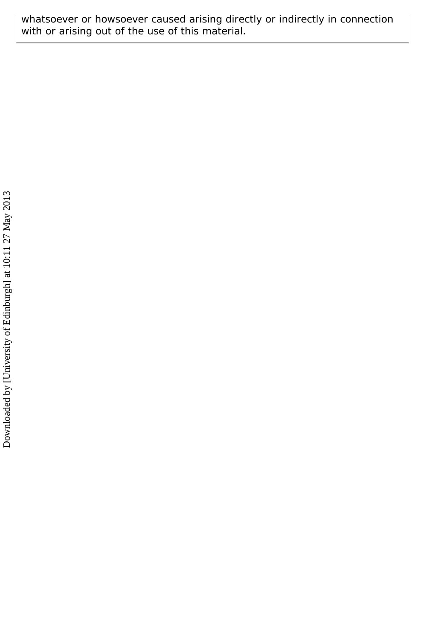whatsoever or howsoever caused arising directly or indirectly in connection with or arising out of the use of this material.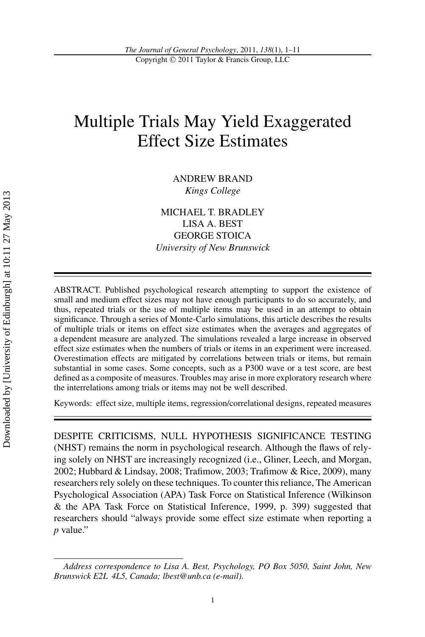# Multiple Trials May Yield Exaggerated Effect Size Estimates

ANDREW BRAND *Kings College*

MICHAEL T. BRADLEY LISA A. BEST GEORGE STOICA *University of New Brunswick*

ABSTRACT. Published psychological research attempting to support the existence of small and medium effect sizes may not have enough participants to do so accurately, and thus, repeated trials or the use of multiple items may be used in an attempt to obtain significance. Through a series of Monte-Carlo simulations, this article describes the results of multiple trials or items on effect size estimates when the averages and aggregates of a dependent measure are analyzed. The simulations revealed a large increase in observed effect size estimates when the numbers of trials or items in an experiment were increased. Overestimation effects are mitigated by correlations between trials or items, but remain substantial in some cases. Some concepts, such as a P300 wave or a test score, are best defined as a composite of measures. Troubles may arise in more exploratory research where the interrelations among trials or items may not be well described.

Keywords: effect size, multiple items, regression/correlational designs, repeated measures

DESPITE CRITICISMS, NULL HYPOTHESIS SIGNIFICANCE TESTING (NHST) remains the norm in psychological research. Although the flaws of relying solely on NHST are increasingly recognized (i.e., Gliner, Leech, and Morgan, 2002; Hubbard & Lindsay, 2008; Trafimow, 2003; Trafimow & Rice, 2009), many researchers rely solely on these techniques. To counter this reliance, The American Psychological Association (APA) Task Force on Statistical Inference (Wilkinson & the APA Task Force on Statistical Inference, 1999, p. 399) suggested that researchers should "always provide some effect size estimate when reporting a *p* value."

*Address correspondence to Lisa A. Best, Psychology, PO Box 5050, Saint John, New Brunswick E2L 4L5, Canada; lbest@unb.ca (e-mail).*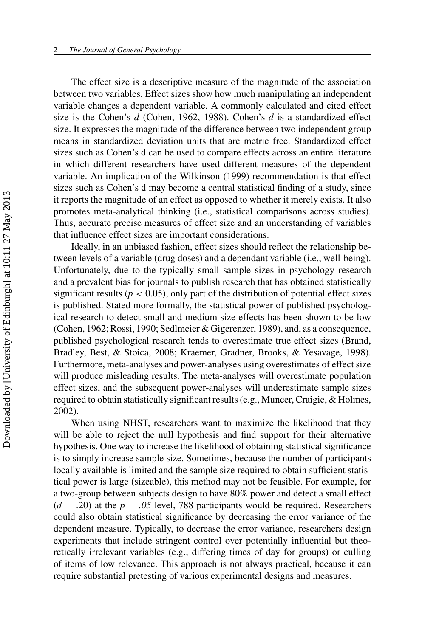The effect size is a descriptive measure of the magnitude of the association between two variables. Effect sizes show how much manipulating an independent variable changes a dependent variable. A commonly calculated and cited effect size is the Cohen's *d* (Cohen, 1962, 1988). Cohen's *d* is a standardized effect size. It expresses the magnitude of the difference between two independent group means in standardized deviation units that are metric free. Standardized effect sizes such as Cohen's d can be used to compare effects across an entire literature in which different researchers have used different measures of the dependent variable. An implication of the Wilkinson (1999) recommendation is that effect sizes such as Cohen's d may become a central statistical finding of a study, since it reports the magnitude of an effect as opposed to whether it merely exists. It also promotes meta-analytical thinking (i.e., statistical comparisons across studies). Thus, accurate precise measures of effect size and an understanding of variables that influence effect sizes are important considerations.

Ideally, in an unbiased fashion, effect sizes should reflect the relationship between levels of a variable (drug doses) and a dependant variable (i.e., well-being). Unfortunately, due to the typically small sample sizes in psychology research and a prevalent bias for journals to publish research that has obtained statistically significant results ( $p < 0.05$ ), only part of the distribution of potential effect sizes is published. Stated more formally, the statistical power of published psychological research to detect small and medium size effects has been shown to be low (Cohen, 1962; Rossi, 1990; Sedlmeier & Gigerenzer, 1989), and, as a consequence, published psychological research tends to overestimate true effect sizes (Brand, Bradley, Best, & Stoica, 2008; Kraemer, Gradner, Brooks, & Yesavage, 1998). Furthermore, meta-analyses and power-analyses using overestimates of effect size will produce misleading results. The meta-analyses will overestimate population effect sizes, and the subsequent power-analyses will underestimate sample sizes required to obtain statistically significant results (e.g., Muncer, Craigie, & Holmes, 2002).

When using NHST, researchers want to maximize the likelihood that they will be able to reject the null hypothesis and find support for their alternative hypothesis. One way to increase the likelihood of obtaining statistical significance is to simply increase sample size. Sometimes, because the number of participants locally available is limited and the sample size required to obtain sufficient statistical power is large (sizeable), this method may not be feasible. For example, for a two-group between subjects design to have 80% power and detect a small effect  $(d = .20)$  at the  $p = .05$  level, 788 participants would be required. Researchers could also obtain statistical significance by decreasing the error variance of the dependent measure. Typically, to decrease the error variance, researchers design experiments that include stringent control over potentially influential but theoretically irrelevant variables (e.g., differing times of day for groups) or culling of items of low relevance. This approach is not always practical, because it can require substantial pretesting of various experimental designs and measures.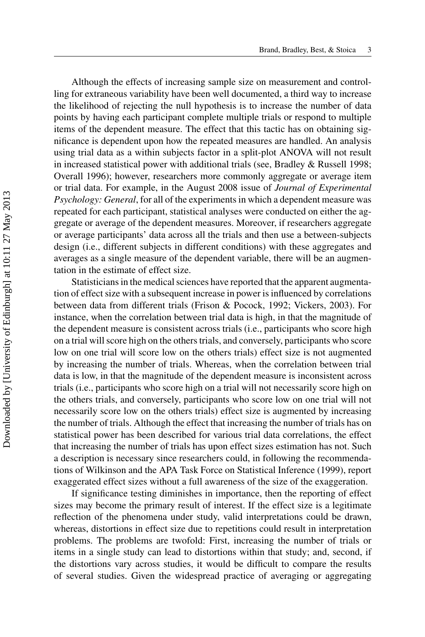Although the effects of increasing sample size on measurement and controlling for extraneous variability have been well documented, a third way to increase the likelihood of rejecting the null hypothesis is to increase the number of data points by having each participant complete multiple trials or respond to multiple items of the dependent measure. The effect that this tactic has on obtaining significance is dependent upon how the repeated measures are handled. An analysis using trial data as a within subjects factor in a split-plot ANOVA will not result in increased statistical power with additional trials (see, Bradley & Russell 1998; Overall 1996); however, researchers more commonly aggregate or average item or trial data. For example, in the August 2008 issue of *Journal of Experimental Psychology: General*, for all of the experiments in which a dependent measure was repeated for each participant, statistical analyses were conducted on either the aggregate or average of the dependent measures. Moreover, if researchers aggregate or average participants' data across all the trials and then use a between-subjects design (i.e., different subjects in different conditions) with these aggregates and averages as a single measure of the dependent variable, there will be an augmentation in the estimate of effect size.

Statisticians in the medical sciences have reported that the apparent augmentation of effect size with a subsequent increase in power is influenced by correlations between data from different trials (Frison & Pocock, 1992; Vickers, 2003). For instance, when the correlation between trial data is high, in that the magnitude of the dependent measure is consistent across trials (i.e., participants who score high on a trial will score high on the others trials, and conversely, participants who score low on one trial will score low on the others trials) effect size is not augmented by increasing the number of trials. Whereas, when the correlation between trial data is low, in that the magnitude of the dependent measure is inconsistent across trials (i.e., participants who score high on a trial will not necessarily score high on the others trials, and conversely, participants who score low on one trial will not necessarily score low on the others trials) effect size is augmented by increasing the number of trials. Although the effect that increasing the number of trials has on statistical power has been described for various trial data correlations, the effect that increasing the number of trials has upon effect sizes estimation has not. Such a description is necessary since researchers could, in following the recommendations of Wilkinson and the APA Task Force on Statistical Inference (1999), report exaggerated effect sizes without a full awareness of the size of the exaggeration.

If significance testing diminishes in importance, then the reporting of effect sizes may become the primary result of interest. If the effect size is a legitimate reflection of the phenomena under study, valid interpretations could be drawn, whereas, distortions in effect size due to repetitions could result in interpretation problems. The problems are twofold: First, increasing the number of trials or items in a single study can lead to distortions within that study; and, second, if the distortions vary across studies, it would be difficult to compare the results of several studies. Given the widespread practice of averaging or aggregating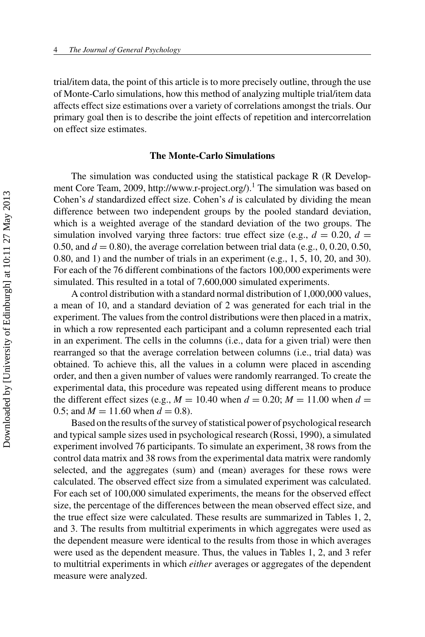trial/item data, the point of this article is to more precisely outline, through the use of Monte-Carlo simulations, how this method of analyzing multiple trial/item data affects effect size estimations over a variety of correlations amongst the trials. Our primary goal then is to describe the joint effects of repetition and intercorrelation on effect size estimates.

### **The Monte-Carlo Simulations**

The simulation was conducted using the statistical package R (R Development Core Team, 2009, http://www.r-project.org/).<sup>1</sup> The simulation was based on Cohen's *d* standardized effect size. Cohen's *d* is calculated by dividing the mean difference between two independent groups by the pooled standard deviation, which is a weighted average of the standard deviation of the two groups. The simulation involved varying three factors: true effect size (e.g.,  $d = 0.20$ ,  $d =$ 0.50, and  $d = 0.80$ ), the average correlation between trial data (e.g., 0, 0.20, 0.50, 0.80, and 1) and the number of trials in an experiment (e.g., 1, 5, 10, 20, and 30). For each of the 76 different combinations of the factors 100,000 experiments were simulated. This resulted in a total of 7,600,000 simulated experiments.

A control distribution with a standard normal distribution of 1,000,000 values, a mean of 10, and a standard deviation of 2 was generated for each trial in the experiment. The values from the control distributions were then placed in a matrix, in which a row represented each participant and a column represented each trial in an experiment. The cells in the columns (i.e., data for a given trial) were then rearranged so that the average correlation between columns (i.e., trial data) was obtained. To achieve this, all the values in a column were placed in ascending order, and then a given number of values were randomly rearranged. To create the experimental data, this procedure was repeated using different means to produce the different effect sizes (e.g.,  $M = 10.40$  when  $d = 0.20$ ;  $M = 11.00$  when  $d =$ 0.5; and  $M = 11.60$  when  $d = 0.8$ ).

Based on the results of the survey of statistical power of psychological research and typical sample sizes used in psychological research (Rossi, 1990), a simulated experiment involved 76 participants. To simulate an experiment, 38 rows from the control data matrix and 38 rows from the experimental data matrix were randomly selected, and the aggregates (sum) and (mean) averages for these rows were calculated. The observed effect size from a simulated experiment was calculated. For each set of 100,000 simulated experiments, the means for the observed effect size, the percentage of the differences between the mean observed effect size, and the true effect size were calculated. These results are summarized in Tables 1, 2, and 3. The results from multitrial experiments in which aggregates were used as the dependent measure were identical to the results from those in which averages were used as the dependent measure. Thus, the values in Tables 1, 2, and 3 refer to multitrial experiments in which *either* averages or aggregates of the dependent measure were analyzed.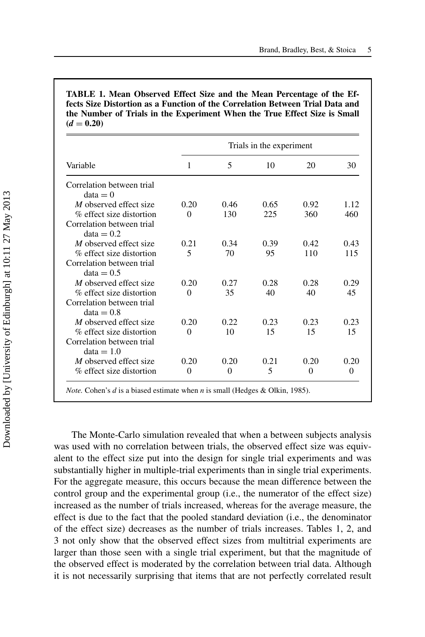**TABLE 1. Mean Observed Effect Size and the Mean Percentage of the Effects Size Distortion as a Function of the Correlation Between Trial Data and the Number of Trials in the Experiment When the True Effect Size is Small**  $(d = 0.20)$ 

| Variable                                                                        | Trials in the experiment |                  |             |                  |                  |  |
|---------------------------------------------------------------------------------|--------------------------|------------------|-------------|------------------|------------------|--|
|                                                                                 | 1                        | 5                | 10          | 20               | 30               |  |
| Correlation between trial<br>$data = 0$                                         |                          |                  |             |                  |                  |  |
| M observed effect size<br>% effect size distortion<br>Correlation between trial | 0.20<br>$\Omega$         | 0.46<br>130      | 0.65<br>225 | 0.92<br>360      | 1.12<br>460      |  |
| $data = 0.2$                                                                    |                          |                  |             |                  |                  |  |
| M observed effect size<br>% effect size distortion<br>Correlation between trial | 0.21<br>5                | 0.34<br>70       | 0.39<br>95  | 0.42<br>110      | 0.43<br>115      |  |
| $data = 0.5$<br>M observed effect size                                          | 0.20                     | 0.27             | 0.28        | 0.28             | 0.29             |  |
| % effect size distortion<br>Correlation between trial<br>$data = 0.8$           | $\Omega$                 | 35               | 40          | 40               | 45               |  |
| M observed effect size<br>% effect size distortion                              | 0.20<br>$\Omega$         | 0.22<br>10       | 0.23<br>15  | 0.23<br>15       | 0.23<br>15       |  |
| Correlation between trial<br>$data = 1.0$                                       |                          |                  |             |                  |                  |  |
| M observed effect size<br>% effect size distortion                              | 0.20<br>$\overline{0}$   | 0.20<br>$\Omega$ | 0.21<br>5   | 0.20<br>$\Omega$ | 0.20<br>$\Omega$ |  |

The Monte-Carlo simulation revealed that when a between subjects analysis was used with no correlation between trials, the observed effect size was equivalent to the effect size put into the design for single trial experiments and was substantially higher in multiple-trial experiments than in single trial experiments. For the aggregate measure, this occurs because the mean difference between the control group and the experimental group (i.e., the numerator of the effect size) increased as the number of trials increased, whereas for the average measure, the effect is due to the fact that the pooled standard deviation (i.e., the denominator of the effect size) decreases as the number of trials increases. Tables 1, 2, and 3 not only show that the observed effect sizes from multitrial experiments are larger than those seen with a single trial experiment, but that the magnitude of the observed effect is moderated by the correlation between trial data. Although it is not necessarily surprising that items that are not perfectly correlated result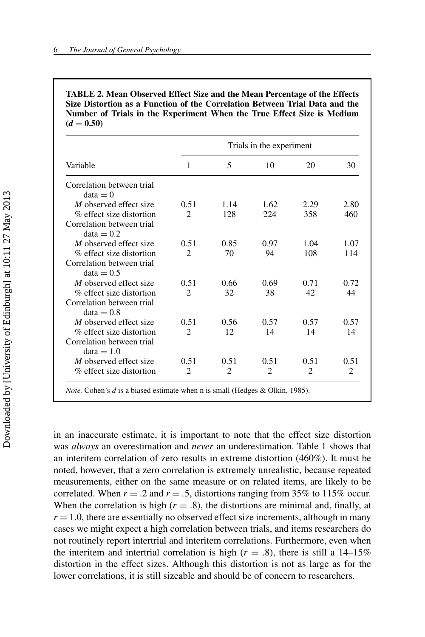### **TABLE 2. Mean Observed Effect Size and the Mean Percentage of the Effects Size Distortion as a Function of the Correlation Between Trial Data and the Number of Trials in the Experiment When the True Effect Size is Medium**  $(d = 0.50)$

| Variable                                  | Trials in the experiment      |                |                |                |      |  |
|-------------------------------------------|-------------------------------|----------------|----------------|----------------|------|--|
|                                           | 1                             | 5              | 10             | 20             | 30   |  |
| Correlation between trial<br>$data = 0$   |                               |                |                |                |      |  |
| M observed effect size                    | 0.51                          | 1.14           | 1.62           | 2.29           | 2.80 |  |
| % effect size distortion                  | $\mathfrak{D}$                | 128            | 224            | 358            | 460  |  |
| Correlation between trial<br>$data = 0.2$ |                               |                |                |                |      |  |
| M observed effect size                    | 0.51                          | 0.85           | 0.97           | 1.04           | 1.07 |  |
| % effect size distortion                  | $\mathfrak{D}$                | 70             | 94             | 108            | 114  |  |
| Correlation between trial<br>$data = 0.5$ |                               |                |                |                |      |  |
| M observed effect size                    | 0.51                          | 0.66           | 0.69           | 0.71           | 0.72 |  |
| % effect size distortion                  | $\overline{c}$                | 32             | 38             | 42             | 44   |  |
| Correlation between trial<br>$data = 0.8$ |                               |                |                |                |      |  |
| M observed effect size                    | 0.51                          | 0.56           | 0.57           | 0.57           | 0.57 |  |
| % effect size distortion                  | $\mathfrak{D}_{\mathfrak{p}}$ | 12             | 14             | 14             | 14   |  |
| Correlation between trial<br>$data = 1.0$ |                               |                |                |                |      |  |
| M observed effect size                    | 0.51                          | 0.51           | 0.51           | 0.51           | 0.51 |  |
| % effect size distortion                  | $\overline{c}$                | $\overline{c}$ | $\overline{c}$ | $\overline{c}$ | 2    |  |

in an inaccurate estimate, it is important to note that the effect size distortion was *always* an overestimation and *never* an underestimation. Table 1 shows that an interitem correlation of zero results in extreme distortion (460%). It must be noted, however, that a zero correlation is extremely unrealistic, because repeated measurements, either on the same measure or on related items, are likely to be correlated. When  $r = .2$  and  $r = .5$ , distortions ranging from 35% to 115% occur. When the correlation is high  $(r = .8)$ , the distortions are minimal and, finally, at  $r = 1.0$ , there are essentially no observed effect size increments, although in many cases we might expect a high correlation between trials, and items researchers do not routinely report intertrial and interitem correlations. Furthermore, even when the interitem and intertrial correlation is high  $(r = .8)$ , there is still a 14–15% distortion in the effect sizes. Although this distortion is not as large as for the lower correlations, it is still sizeable and should be of concern to researchers.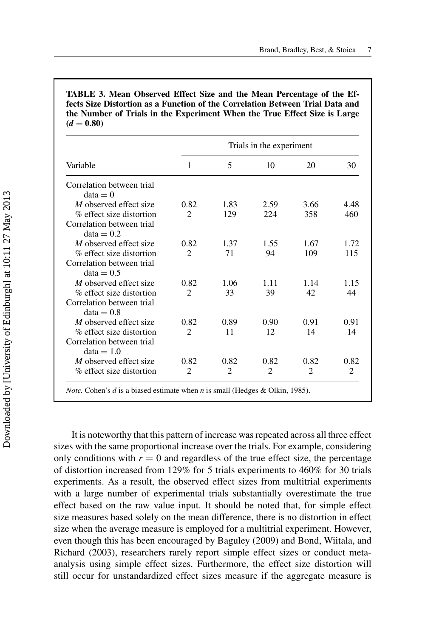**TABLE 3. Mean Observed Effect Size and the Mean Percentage of the Effects Size Distortion as a Function of the Correlation Between Trial Data and the Number of Trials in the Experiment When the True Effect Size is Large**  $(d = 0.80)$ 

| Variable                                                                                        | Trials in the experiment              |                        |             |                        |             |  |
|-------------------------------------------------------------------------------------------------|---------------------------------------|------------------------|-------------|------------------------|-------------|--|
|                                                                                                 | 1                                     | 5                      | 10          | 20                     | 30          |  |
| Correlation between trial<br>$data = 0$                                                         |                                       |                        |             |                        |             |  |
| M observed effect size<br>% effect size distortion<br>Correlation between trial                 | 0.82<br>$\mathfrak{D}_{\mathfrak{p}}$ | 1.83<br>129            | 2.59<br>224 | 3.66<br>358            | 4.48<br>460 |  |
| $data = 0.2$<br>M observed effect size<br>% effect size distortion<br>Correlation between trial | 0.82<br>$\overline{2}$                | 1.37<br>71             | 1.55<br>94  | 1.67<br>109            | 1.72<br>115 |  |
| $data = 0.5$<br>M observed effect size<br>% effect size distortion<br>Correlation between trial | 0.82<br>$\overline{c}$                | 1.06<br>33             | 1.11<br>39  | 1.14<br>42             | 1.15<br>44  |  |
| $data = 0.8$<br>M observed effect size<br>% effect size distortion<br>Correlation between trial | 0.82<br>$\mathcal{D}_{\mathcal{L}}$   | 0.89<br>11             | 0.90<br>12  | 0.91<br>14             | 0.91<br>14  |  |
| $data = 1.0$<br>M observed effect size<br>% effect size distortion                              | 0.82<br>$\overline{c}$                | 0.82<br>$\overline{c}$ | 0.82<br>2   | 0.82<br>$\overline{c}$ | 0.82<br>2   |  |

It is noteworthy that this pattern of increase was repeated across all three effect sizes with the same proportional increase over the trials. For example, considering only conditions with  $r = 0$  and regardless of the true effect size, the percentage of distortion increased from 129% for 5 trials experiments to 460% for 30 trials experiments. As a result, the observed effect sizes from multitrial experiments with a large number of experimental trials substantially overestimate the true effect based on the raw value input. It should be noted that, for simple effect size measures based solely on the mean difference, there is no distortion in effect size when the average measure is employed for a multitrial experiment. However, even though this has been encouraged by Baguley (2009) and Bond, Wiitala, and Richard (2003), researchers rarely report simple effect sizes or conduct metaanalysis using simple effect sizes. Furthermore, the effect size distortion will still occur for unstandardized effect sizes measure if the aggregate measure is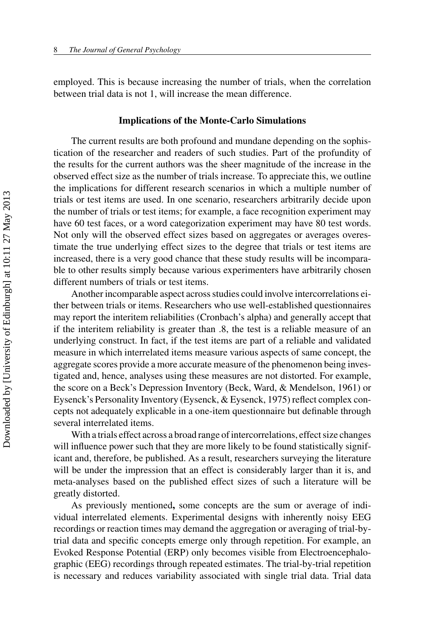employed. This is because increasing the number of trials, when the correlation between trial data is not 1, will increase the mean difference.

#### **Implications of the Monte-Carlo Simulations**

The current results are both profound and mundane depending on the sophistication of the researcher and readers of such studies. Part of the profundity of the results for the current authors was the sheer magnitude of the increase in the observed effect size as the number of trials increase. To appreciate this, we outline the implications for different research scenarios in which a multiple number of trials or test items are used. In one scenario, researchers arbitrarily decide upon the number of trials or test items; for example, a face recognition experiment may have 60 test faces, or a word categorization experiment may have 80 test words. Not only will the observed effect sizes based on aggregates or averages overestimate the true underlying effect sizes to the degree that trials or test items are increased, there is a very good chance that these study results will be incomparable to other results simply because various experimenters have arbitrarily chosen different numbers of trials or test items.

Another incomparable aspect across studies could involve intercorrelations either between trials or items. Researchers who use well-established questionnaires may report the interitem reliabilities (Cronbach's alpha) and generally accept that if the interitem reliability is greater than .8, the test is a reliable measure of an underlying construct. In fact, if the test items are part of a reliable and validated measure in which interrelated items measure various aspects of same concept, the aggregate scores provide a more accurate measure of the phenomenon being investigated and, hence, analyses using these measures are not distorted. For example, the score on a Beck's Depression Inventory (Beck, Ward, & Mendelson, 1961) or Eysenck's Personality Inventory (Eysenck, & Eysenck, 1975) reflect complex concepts not adequately explicable in a one-item questionnaire but definable through several interrelated items.

With a trials effect across a broad range of intercorrelations, effect size changes will influence power such that they are more likely to be found statistically significant and, therefore, be published. As a result, researchers surveying the literature will be under the impression that an effect is considerably larger than it is, and meta-analyses based on the published effect sizes of such a literature will be greatly distorted.

As previously mentioned**,** some concepts are the sum or average of individual interrelated elements. Experimental designs with inherently noisy EEG recordings or reaction times may demand the aggregation or averaging of trial-bytrial data and specific concepts emerge only through repetition. For example, an Evoked Response Potential (ERP) only becomes visible from Electroencephalographic (EEG) recordings through repeated estimates. The trial-by-trial repetition is necessary and reduces variability associated with single trial data. Trial data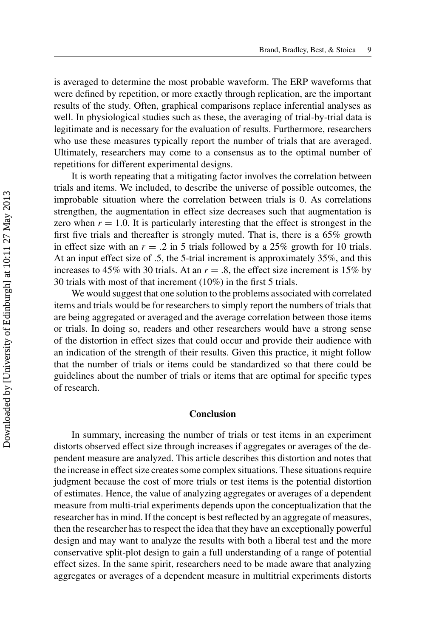is averaged to determine the most probable waveform. The ERP waveforms that were defined by repetition, or more exactly through replication, are the important results of the study. Often, graphical comparisons replace inferential analyses as well. In physiological studies such as these, the averaging of trial-by-trial data is legitimate and is necessary for the evaluation of results. Furthermore, researchers who use these measures typically report the number of trials that are averaged. Ultimately, researchers may come to a consensus as to the optimal number of repetitions for different experimental designs.

It is worth repeating that a mitigating factor involves the correlation between trials and items. We included, to describe the universe of possible outcomes, the improbable situation where the correlation between trials is 0. As correlations strengthen, the augmentation in effect size decreases such that augmentation is zero when  $r = 1.0$ . It is particularly interesting that the effect is strongest in the first five trials and thereafter is strongly muted. That is, there is a 65% growth in effect size with an  $r = .2$  in 5 trials followed by a 25% growth for 10 trials. At an input effect size of .5, the 5-trial increment is approximately 35%, and this increases to 45% with 30 trials. At an  $r = .8$ , the effect size increment is 15% by 30 trials with most of that increment (10%) in the first 5 trials.

We would suggest that one solution to the problems associated with correlated items and trials would be for researchers to simply report the numbers of trials that are being aggregated or averaged and the average correlation between those items or trials. In doing so, readers and other researchers would have a strong sense of the distortion in effect sizes that could occur and provide their audience with an indication of the strength of their results. Given this practice, it might follow that the number of trials or items could be standardized so that there could be guidelines about the number of trials or items that are optimal for specific types of research.

### **Conclusion**

In summary, increasing the number of trials or test items in an experiment distorts observed effect size through increases if aggregates or averages of the dependent measure are analyzed. This article describes this distortion and notes that the increase in effect size creates some complex situations. These situations require judgment because the cost of more trials or test items is the potential distortion of estimates. Hence, the value of analyzing aggregates or averages of a dependent measure from multi-trial experiments depends upon the conceptualization that the researcher has in mind. If the concept is best reflected by an aggregate of measures, then the researcher has to respect the idea that they have an exceptionally powerful design and may want to analyze the results with both a liberal test and the more conservative split-plot design to gain a full understanding of a range of potential effect sizes. In the same spirit, researchers need to be made aware that analyzing aggregates or averages of a dependent measure in multitrial experiments distorts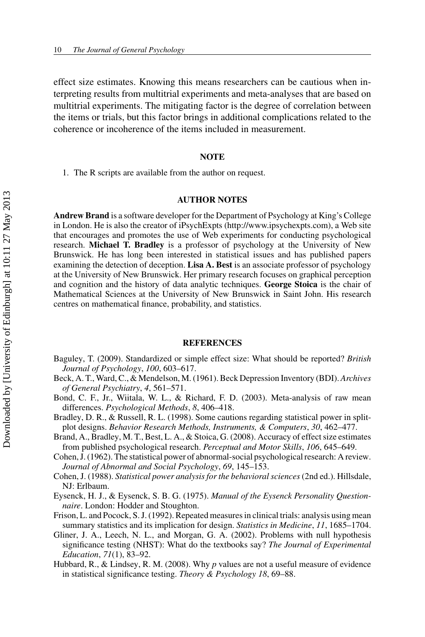effect size estimates. Knowing this means researchers can be cautious when interpreting results from multitrial experiments and meta-analyses that are based on multitrial experiments. The mitigating factor is the degree of correlation between the items or trials, but this factor brings in additional complications related to the coherence or incoherence of the items included in measurement.

#### **NOTE**

1. The R scripts are available from the author on request.

#### **AUTHOR NOTES**

**Andrew Brand** is a software developer for the Department of Psychology at King's College in London. He is also the creator of iPsychExpts (http://www.ipsychexpts.com), a Web site that encourages and promotes the use of Web experiments for conducting psychological research. **Michael T. Bradley** is a professor of psychology at the University of New Brunswick. He has long been interested in statistical issues and has published papers examining the detection of deception. **Lisa A. Best** is an associate professor of psychology at the University of New Brunswick. Her primary research focuses on graphical perception and cognition and the history of data analytic techniques. **George Stoica** is the chair of Mathematical Sciences at the University of New Brunswick in Saint John. His research centres on mathematical finance, probability, and statistics.

#### **REFERENCES**

- Baguley, T. (2009). Standardized or simple effect size: What should be reported? *British Journal of Psychology*, *100*, 603–617.
- Beck, A. T., Ward, C., & Mendelson, M. (1961). Beck Depression Inventory (BDI). *Archives of General Psychiatry*, *4*, 561–571.
- Bond, C. F., Jr., Wiitala, W. L., & Richard, F. D. (2003). Meta-analysis of raw mean differences. *Psychological Methods*, *8*, 406–418.
- Bradley, D. R., & Russell, R. L. (1998). Some cautions regarding statistical power in splitplot designs. *Behavior Research Methods, Instruments, & Computers*, *30*, 462–477.
- Brand, A., Bradley, M. T., Best, L. A., & Stoica, G. (2008). Accuracy of effect size estimates from published psychological research. *Perceptual and Motor Skills*, *106*, 645–649.
- Cohen, J. (1962). The statistical power of abnormal-social psychological research: A review. *Journal of Abnormal and Social Psychology*, *69*, 145–153.
- Cohen, J. (1988). *Statistical power analysis for the behavioral sciences*(2nd ed.). Hillsdale, NJ: Erlbaum.
- Eysenck, H. J., & Eysenck, S. B. G. (1975). *Manual of the Eysenck Personality Questionnaire*. London: Hodder and Stoughton.
- Frison, L. and Pocock, S. J. (1992). Repeated measures in clinical trials: analysis using mean summary statistics and its implication for design. *Statistics in Medicine*, *11*, 1685–1704.
- Gliner, J. A., Leech, N. L., and Morgan, G. A. (2002). Problems with null hypothesis significance testing (NHST): What do the textbooks say? *The Journal of Experimental Education*, *71*(1), 83–92.
- Hubbard, R., & Lindsey, R. M. (2008). Why *p* values are not a useful measure of evidence in statistical significance testing. *Theory & Psychology 18*, 69–88.